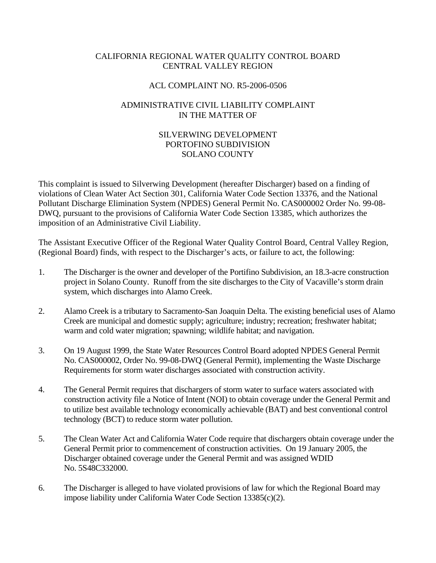## CALIFORNIA REGIONAL WATER QUALITY CONTROL BOARD CENTRAL VALLEY REGION

## ACL COMPLAINT NO. R5-2006-0506

## ADMINISTRATIVE CIVIL LIABILITY COMPLAINT IN THE MATTER OF

## SILVERWING DEVELOPMENT PORTOFINO SUBDIVISION SOLANO COUNTY

This complaint is issued to Silverwing Development (hereafter Discharger) based on a finding of violations of Clean Water Act Section 301, California Water Code Section 13376, and the National Pollutant Discharge Elimination System (NPDES) General Permit No. CAS000002 Order No. 99-08- DWQ, pursuant to the provisions of California Water Code Section 13385, which authorizes the imposition of an Administrative Civil Liability.

The Assistant Executive Officer of the Regional Water Quality Control Board, Central Valley Region, (Regional Board) finds, with respect to the Discharger's acts, or failure to act, the following:

- 1. The Discharger is the owner and developer of the Portifino Subdivision, an 18.3-acre construction project in Solano County. Runoff from the site discharges to the City of Vacaville's storm drain system, which discharges into Alamo Creek.
- 2. Alamo Creek is a tributary to Sacramento-San Joaquin Delta. The existing beneficial uses of Alamo Creek are municipal and domestic supply; agriculture; industry; recreation; freshwater habitat; warm and cold water migration; spawning; wildlife habitat; and navigation.
- 3. On 19 August 1999, the State Water Resources Control Board adopted NPDES General Permit No. CAS000002, Order No. 99-08-DWQ (General Permit), implementing the Waste Discharge Requirements for storm water discharges associated with construction activity.
- 4. The General Permit requires that dischargers of storm water to surface waters associated with construction activity file a Notice of Intent (NOI) to obtain coverage under the General Permit and to utilize best available technology economically achievable (BAT) and best conventional control technology (BCT) to reduce storm water pollution.
- 5. The Clean Water Act and California Water Code require that dischargers obtain coverage under the General Permit prior to commencement of construction activities. On 19 January 2005, the Discharger obtained coverage under the General Permit and was assigned WDID No. 5S48C332000.
- 6. The Discharger is alleged to have violated provisions of law for which the Regional Board may impose liability under California Water Code Section 13385(c)(2).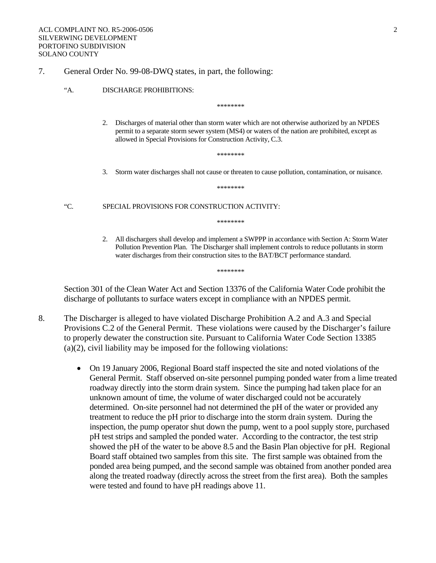### 7. General Order No. 99-08-DWQ states, in part, the following:

#### "A. DISCHARGE PROHIBITIONS:

\*\*\*\*\*\*\*\*

2. Discharges of material other than storm water which are not otherwise authorized by an NPDES permit to a separate storm sewer system (MS4) or waters of the nation are prohibited, except as allowed in Special Provisions for Construction Activity, C.3.

\*\*\*\*\*\*\*\*

3. Storm water discharges shall not cause or threaten to cause pollution, contamination, or nuisance.

\*\*\*\*\*\*\*\*

"C. SPECIAL PROVISIONS FOR CONSTRUCTION ACTIVITY:

\*\*\*\*\*\*\*\*

2. All dischargers shall develop and implement a SWPPP in accordance with Section A: Storm Water Pollution Prevention Plan. The Discharger shall implement controls to reduce pollutants in storm water discharges from their construction sites to the BAT/BCT performance standard.

\*\*\*\*\*\*\*\*

Section 301 of the Clean Water Act and Section 13376 of the California Water Code prohibit the discharge of pollutants to surface waters except in compliance with an NPDES permit.

- 8. The Discharger is alleged to have violated Discharge Prohibition A.2 and A.3 and Special Provisions C.2 of the General Permit. These violations were caused by the Discharger's failure to properly dewater the construction site. Pursuant to California Water Code Section 13385 (a)(2), civil liability may be imposed for the following violations:
	- On 19 January 2006, Regional Board staff inspected the site and noted violations of the General Permit. Staff observed on-site personnel pumping ponded water from a lime treated roadway directly into the storm drain system. Since the pumping had taken place for an unknown amount of time, the volume of water discharged could not be accurately determined. On-site personnel had not determined the pH of the water or provided any treatment to reduce the pH prior to discharge into the storm drain system. During the inspection, the pump operator shut down the pump, went to a pool supply store, purchased pH test strips and sampled the ponded water. According to the contractor, the test strip showed the pH of the water to be above 8.5 and the Basin Plan objective for pH. Regional Board staff obtained two samples from this site. The first sample was obtained from the ponded area being pumped, and the second sample was obtained from another ponded area along the treated roadway (directly across the street from the first area). Both the samples were tested and found to have pH readings above 11.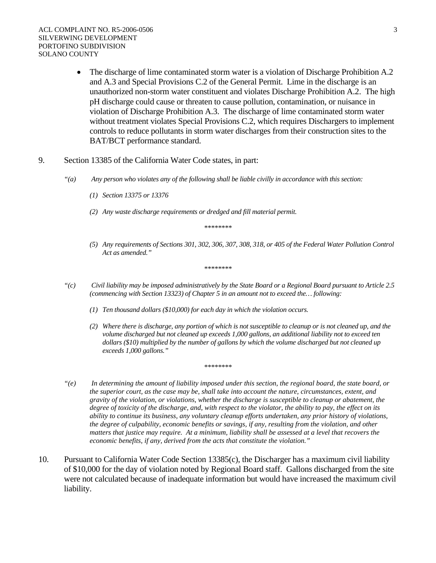- The discharge of lime contaminated storm water is a violation of Discharge Prohibition A.2 and A.3 and Special Provisions C.2 of the General Permit. Lime in the discharge is an unauthorized non-storm water constituent and violates Discharge Prohibition A.2. The high pH discharge could cause or threaten to cause pollution, contamination, or nuisance in violation of Discharge Prohibition A.3. The discharge of lime contaminated storm water without treatment violates Special Provisions C.2, which requires Dischargers to implement controls to reduce pollutants in storm water discharges from their construction sites to the BAT/BCT performance standard.
- 9. Section 13385 of the California Water Code states, in part:
	- *"(a) Any person who violates any of the following shall be liable civilly in accordance with this section:* 
		- *(1) Section 13375 or 13376*
		- *(2) Any waste discharge requirements or dredged and fill material permit.*

*\*\*\*\*\*\*\*\** 

*(5) Any requirements of Sections 301, 302, 306, 307, 308, 318, or 405 of the Federal Water Pollution Control Act as amended."* 

*\*\*\*\*\*\*\*\** 

- *"(c) Civil liability may be imposed administratively by the State Board or a Regional Board pursuant to Article 2.5 (commencing with Section 13323) of Chapter 5 in an amount not to exceed the… following:* 
	- *(1) Ten thousand dollars (\$10,000) for each day in which the violation occurs.*
	- *(2) Where there is discharge, any portion of which is not susceptible to cleanup or is not cleaned up, and the volume discharged but not cleaned up exceeds 1,000 gallons, an additional liability not to exceed ten dollars (\$10) multiplied by the number of gallons by which the volume discharged but not cleaned up exceeds 1,000 gallons."*
- *"(e) In determining the amount of liability imposed under this section, the regional board, the state board, or the superior court, as the case may be, shall take into account the nature, circumstances, extent, and gravity of the violation, or violations, whether the discharge is susceptible to cleanup or abatement, the degree of toxicity of the discharge, and, with respect to the violator, the ability to pay, the effect on its ability to continue its business, any voluntary cleanup efforts undertaken, any prior history of violations, the degree of culpability, economic benefits or savings, if any, resulting from the violation, and other matters that justice may require. At a minimum, liability shall be assessed at a level that recovers the economic benefits, if any, derived from the acts that constitute the violation."*

*\*\*\*\*\*\*\*\** 

10. Pursuant to California Water Code Section 13385(c), the Discharger has a maximum civil liability of \$10,000 for the day of violation noted by Regional Board staff. Gallons discharged from the site were not calculated because of inadequate information but would have increased the maximum civil liability.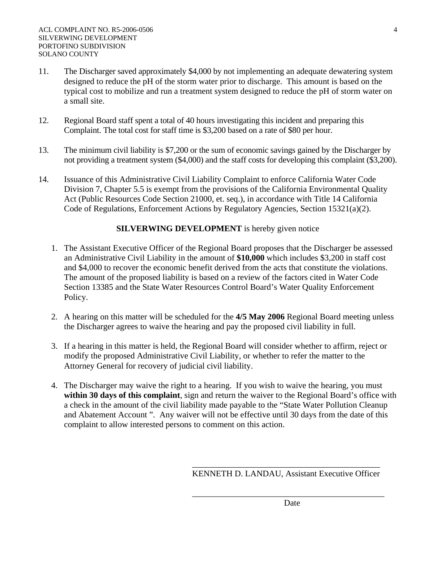- 11. The Discharger saved approximately \$4,000 by not implementing an adequate dewatering system designed to reduce the pH of the storm water prior to discharge. This amount is based on the typical cost to mobilize and run a treatment system designed to reduce the pH of storm water on a small site.
- 12. Regional Board staff spent a total of 40 hours investigating this incident and preparing this Complaint. The total cost for staff time is \$3,200 based on a rate of \$80 per hour.
- 13. The minimum civil liability is \$7,200 or the sum of economic savings gained by the Discharger by not providing a treatment system (\$4,000) and the staff costs for developing this complaint (\$3,200).
- 14. Issuance of this Administrative Civil Liability Complaint to enforce California Water Code Division 7, Chapter 5.5 is exempt from the provisions of the California Environmental Quality Act (Public Resources Code Section 21000, et. seq.), in accordance with Title 14 California Code of Regulations, Enforcement Actions by Regulatory Agencies, Section 15321(a)(2).

# **SILVERWING DEVELOPMENT** is hereby given notice

- 1. The Assistant Executive Officer of the Regional Board proposes that the Discharger be assessed an Administrative Civil Liability in the amount of **\$10,000** which includes \$3,200 in staff cost and \$4,000 to recover the economic benefit derived from the acts that constitute the violations. The amount of the proposed liability is based on a review of the factors cited in Water Code Section 13385 and the State Water Resources Control Board's Water Quality Enforcement Policy.
- 2. A hearing on this matter will be scheduled for the **4/5 May 2006** Regional Board meeting unless the Discharger agrees to waive the hearing and pay the proposed civil liability in full.
- 3. If a hearing in this matter is held, the Regional Board will consider whether to affirm, reject or modify the proposed Administrative Civil Liability, or whether to refer the matter to the Attorney General for recovery of judicial civil liability.
- 4. The Discharger may waive the right to a hearing. If you wish to waive the hearing, you must **within 30 days of this complaint**, sign and return the waiver to the Regional Board's office with a check in the amount of the civil liability made payable to the "State Water Pollution Cleanup and Abatement Account ". Any waiver will not be effective until 30 days from the date of this complaint to allow interested persons to comment on this action.

 $\frac{1}{\sqrt{2}}$  ,  $\frac{1}{\sqrt{2}}$  ,  $\frac{1}{\sqrt{2}}$  ,  $\frac{1}{\sqrt{2}}$  ,  $\frac{1}{\sqrt{2}}$  ,  $\frac{1}{\sqrt{2}}$  ,  $\frac{1}{\sqrt{2}}$  ,  $\frac{1}{\sqrt{2}}$  ,  $\frac{1}{\sqrt{2}}$  ,  $\frac{1}{\sqrt{2}}$  ,  $\frac{1}{\sqrt{2}}$  ,  $\frac{1}{\sqrt{2}}$  ,  $\frac{1}{\sqrt{2}}$  ,  $\frac{1}{\sqrt{2}}$  ,  $\frac{1}{\sqrt{2}}$ 

 $\overline{\phantom{a}}$  , which is a set of the set of the set of the set of the set of the set of the set of the set of the set of the set of the set of the set of the set of the set of the set of the set of the set of the set of th